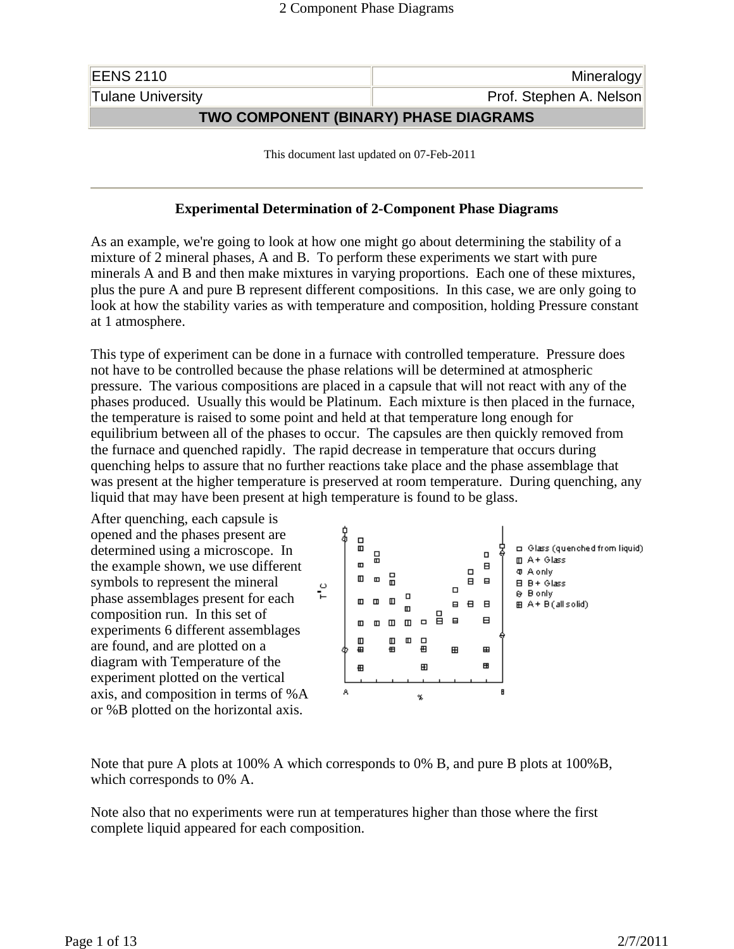| <b>EENS 2110</b>                      | Mineralogy              |
|---------------------------------------|-------------------------|
| <b>Tulane University</b>              | Prof. Stephen A. Nelson |
| TWO COMPONENT (BINARY) PHASE DIAGRAMS |                         |

This document last updated on 07-Feb-2011

### **Experimental Determination of 2-Component Phase Diagrams**

As an example, we're going to look at how one might go about determining the stability of a mixture of 2 mineral phases, A and B. To perform these experiments we start with pure minerals A and B and then make mixtures in varying proportions. Each one of these mixtures, plus the pure A and pure B represent different compositions. In this case, we are only going to look at how the stability varies as with temperature and composition, holding Pressure constant at 1 atmosphere.

This type of experiment can be done in a furnace with controlled temperature. Pressure does not have to be controlled because the phase relations will be determined at atmospheric pressure. The various compositions are placed in a capsule that will not react with any of the phases produced. Usually this would be Platinum. Each mixture is then placed in the furnace, the temperature is raised to some point and held at that temperature long enough for equilibrium between all of the phases to occur. The capsules are then quickly removed from the furnace and quenched rapidly. The rapid decrease in temperature that occurs during quenching helps to assure that no further reactions take place and the phase assemblage that was present at the higher temperature is preserved at room temperature. During quenching, any liquid that may have been present at high temperature is found to be glass.

After quenching, each capsule is opened and the phases present are determined using a microscope. In the example shown, we use different symbols to represent the mineral phase assemblages present for each composition run. In this set of experiments 6 different assemblages are found, and are plotted on a diagram with Temperature of the experiment plotted on the vertical axis, and composition in terms of %A or %B plotted on the horizontal axis.



Note that pure A plots at 100% A which corresponds to 0% B, and pure B plots at 100%B, which corresponds to 0% A.

Note also that no experiments were run at temperatures higher than those where the first complete liquid appeared for each composition.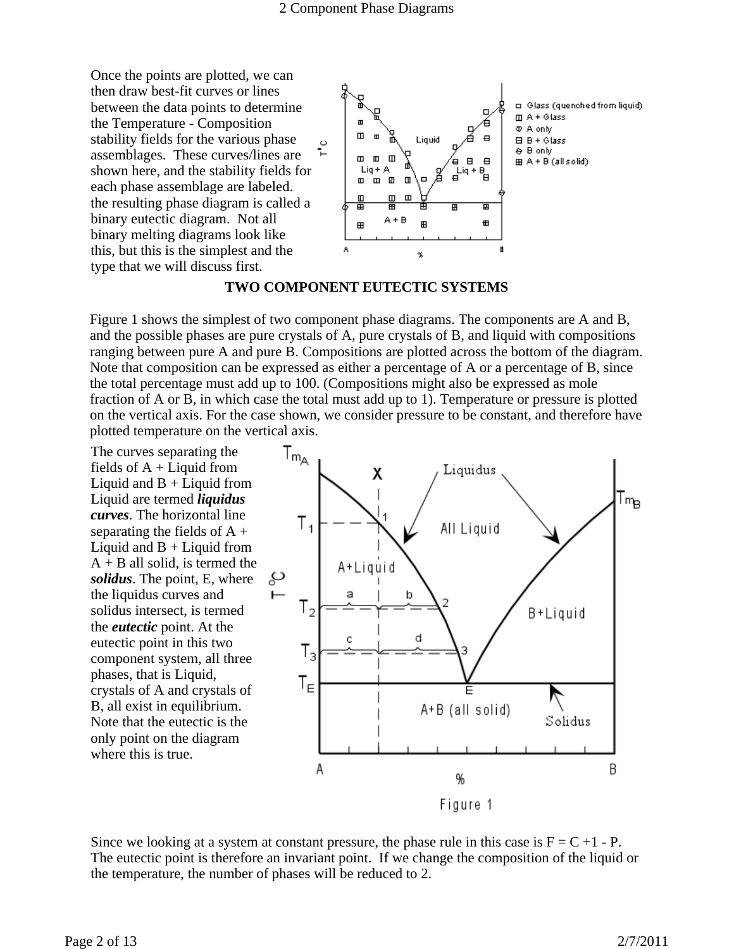Once the points are plotted, we can then draw best-fit curves or lines between the data points to determine the Temperature - Composition stability fields for the various phase assemblages. These curves/lines are shown here, and the stability fields for each phase assemblage are labeled. the resulting phase diagram is called a binary eutectic diagram. Not all binary melting diagrams look like this, but this is the simplest and the type that we will discuss first.



### **TWO COMPONENT EUTECTIC SYSTEMS**

Figure 1 shows the simplest of two component phase diagrams. The components are A and B, and the possible phases are pure crystals of A, pure crystals of B, and liquid with compositions ranging between pure A and pure B. Compositions are plotted across the bottom of the diagram. Note that composition can be expressed as either a percentage of A or a percentage of B, since the total percentage must add up to 100. (Compositions might also be expressed as mole fraction of A or B, in which case the total must add up to 1). Temperature or pressure is plotted on the vertical axis. For the case shown, we consider pressure to be constant, and therefore have plotted temperature on the vertical axis.

The curves separating the fields of  $A +$ Liquid from Liquid and  $B +$ Liquid from Liquid are termed *liquidus curves*. The horizontal line separating the fields of  $A +$ Liquid and  $B +$ Liquid from  $A + B$  all solid, is termed the *solidus*. The point, E, where the liquidus curves and solidus intersect, is termed the *eutectic* point. At the eutectic point in this two component system, all three phases, that is Liquid, crystals of A and crystals of B, all exist in equilibrium. Note that the eutectic is the only point on the diagram where this is true.



Since we looking at a system at constant pressure, the phase rule in this case is  $F = C +1$  - P. The eutectic point is therefore an invariant point. If we change the composition of the liquid or the temperature, the number of phases will be reduced to 2.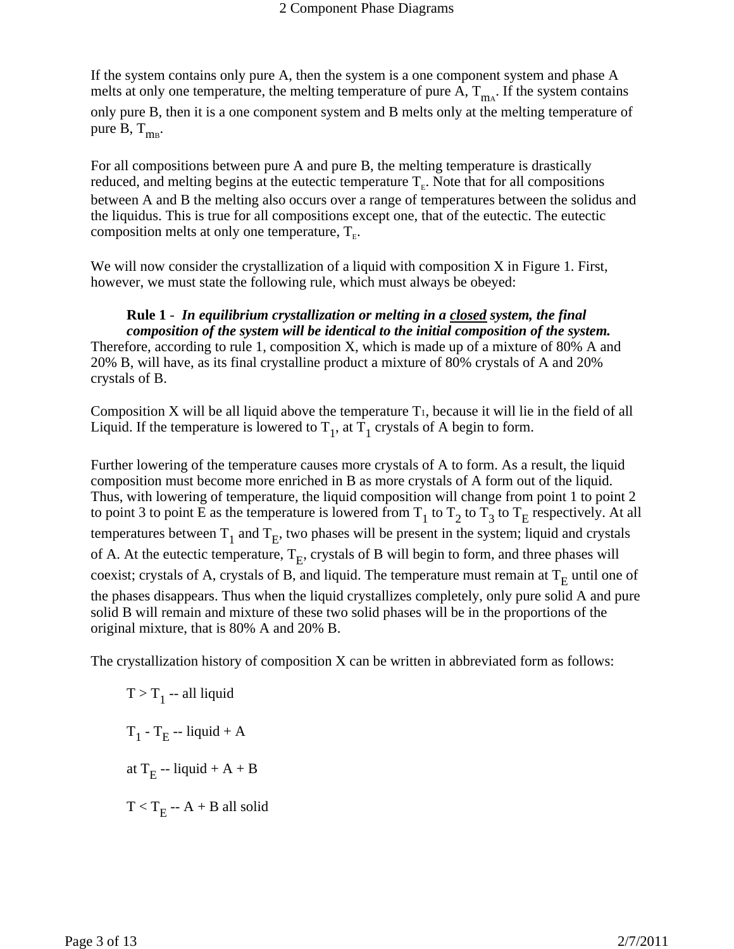If the system contains only pure A, then the system is a one component system and phase A melts at only one temperature, the melting temperature of pure  $A$ ,  $T_{\text{max}}$ . If the system contains only pure B, then it is a one component system and B melts only at the melting temperature of pure B,  $T_{\text{ms}}$ .

For all compositions between pure A and pure B, the melting temperature is drastically reduced, and melting begins at the eutectic temperature  $T<sub>E</sub>$ . Note that for all compositions between A and B the melting also occurs over a range of temperatures between the solidus and the liquidus. This is true for all compositions except one, that of the eutectic. The eutectic composition melts at only one temperature,  $T_{E}$ .

We will now consider the crystallization of a liquid with composition X in Figure 1. First, however, we must state the following rule, which must always be obeyed:

#### **Rule 1** - *In equilibrium crystallization or melting in a closed system, the final composition of the system will be identical to the initial composition of the system.*

Therefore, according to rule 1, composition X, which is made up of a mixture of 80% A and 20% B, will have, as its final crystalline product a mixture of 80% crystals of A and 20% crystals of B.

Composition X will be all liquid above the temperature  $T_1$ , because it will lie in the field of all Liquid. If the temperature is lowered to  $T_1$ , at  $T_1$  crystals of A begin to form.

Further lowering of the temperature causes more crystals of A to form. As a result, the liquid composition must become more enriched in B as more crystals of A form out of the liquid. Thus, with lowering of temperature, the liquid composition will change from point 1 to point 2 to point 3 to point E as the temperature is lowered from  $T_1$  to  $T_2$  to  $T_3$  to  $T_E$  respectively. At all temperatures between  $T_1$  and  $T_E$ , two phases will be present in the system; liquid and crystals of A. At the eutectic temperature,  $T_E$ , crystals of B will begin to form, and three phases will coexist; crystals of A, crystals of B, and liquid. The temperature must remain at  $T_E$  until one of the phases disappears. Thus when the liquid crystallizes completely, only pure solid A and pure solid B will remain and mixture of these two solid phases will be in the proportions of the original mixture, that is 80% A and 20% B.

The crystallization history of composition X can be written in abbreviated form as follows:

 $T > T_1$  -- all liquid  $T_1 - T_E - liquid + A$ at  $T_E$  -- liquid + A + B  $T < T<sub>E</sub> - A + B$  all solid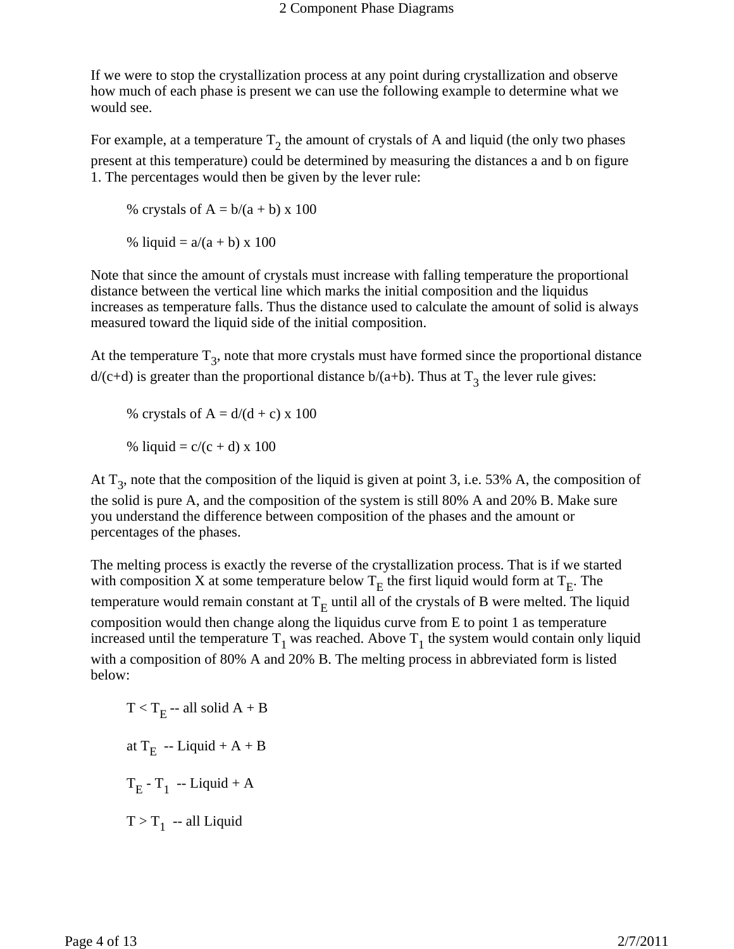If we were to stop the crystallization process at any point during crystallization and observe how much of each phase is present we can use the following example to determine what we would see.

For example, at a temperature  $T_2$  the amount of crystals of A and liquid (the only two phases present at this temperature) could be determined by measuring the distances a and b on figure 1. The percentages would then be given by the lever rule:

% crystals of  $A = b/(a + b) \times 100$ 

% liquid =  $a/(a + b) \times 100$ 

Note that since the amount of crystals must increase with falling temperature the proportional distance between the vertical line which marks the initial composition and the liquidus increases as temperature falls. Thus the distance used to calculate the amount of solid is always measured toward the liquid side of the initial composition.

At the temperature  $T_3$ , note that more crystals must have formed since the proportional distance  $d/(c+d)$  is greater than the proportional distance  $b/(a+b)$ . Thus at T<sub>3</sub> the lever rule gives:

% crystals of  $A = d/(d + c) \times 100$ 

% liquid =  $c/(c + d) \times 100$ 

At  $T_3$ , note that the composition of the liquid is given at point 3, i.e. 53% A, the composition of the solid is pure A, and the composition of the system is still 80% A and 20% B. Make sure you understand the difference between composition of the phases and the amount or percentages of the phases.

The melting process is exactly the reverse of the crystallization process. That is if we started with composition X at some temperature below  $T_E$  the first liquid would form at  $T_E$ . The temperature would remain constant at  $T_E$  until all of the crystals of B were melted. The liquid composition would then change along the liquidus curve from E to point 1 as temperature increased until the temperature  $T_1$  was reached. Above  $T_1$  the system would contain only liquid with a composition of 80% A and 20% B. The melting process in abbreviated form is listed below:

 $T < T<sub>F</sub> - all solid A + B$ at  $T_E$  -- Liquid + A + B  $T_E - T_1$  -- Liquid + A  $T > T_1$  -- all Liquid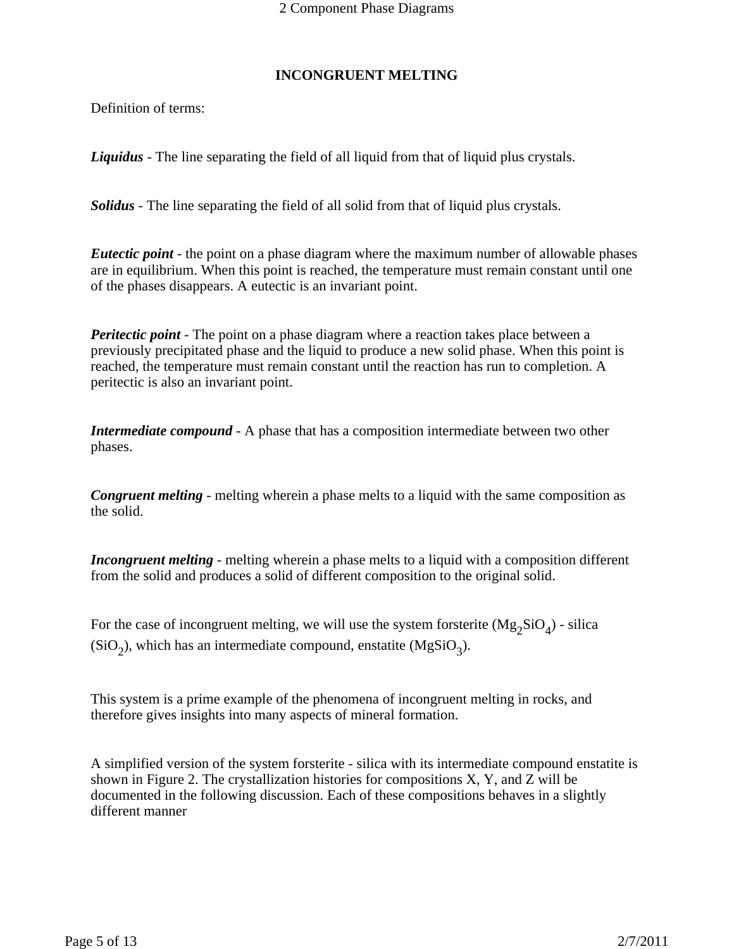### **INCONGRUENT MELTING**

Definition of terms:

*Liquidus* - The line separating the field of all liquid from that of liquid plus crystals.

*Solidus* - The line separating the field of all solid from that of liquid plus crystals.

*Eutectic point* - the point on a phase diagram where the maximum number of allowable phases are in equilibrium. When this point is reached, the temperature must remain constant until one of the phases disappears. A eutectic is an invariant point.

*Peritectic point* - The point on a phase diagram where a reaction takes place between a previously precipitated phase and the liquid to produce a new solid phase. When this point is reached, the temperature must remain constant until the reaction has run to completion. A peritectic is also an invariant point.

*Intermediate compound* - A phase that has a composition intermediate between two other phases.

*Congruent melting* - melting wherein a phase melts to a liquid with the same composition as the solid.

*Incongruent melting* - melting wherein a phase melts to a liquid with a composition different from the solid and produces a solid of different composition to the original solid.

For the case of incongruent melting, we will use the system forsterite  $(Mg_2SiO<sub>A</sub>)$  - silica  $(SiO<sub>2</sub>)$ , which has an intermediate compound, enstatite  $(MgSiO<sub>3</sub>)$ .

This system is a prime example of the phenomena of incongruent melting in rocks, and therefore gives insights into many aspects of mineral formation.

A simplified version of the system forsterite - silica with its intermediate compound enstatite is shown in Figure 2. The crystallization histories for compositions  $X$ ,  $Y$ , and  $Z$  will be documented in the following discussion. Each of these compositions behaves in a slightly different manner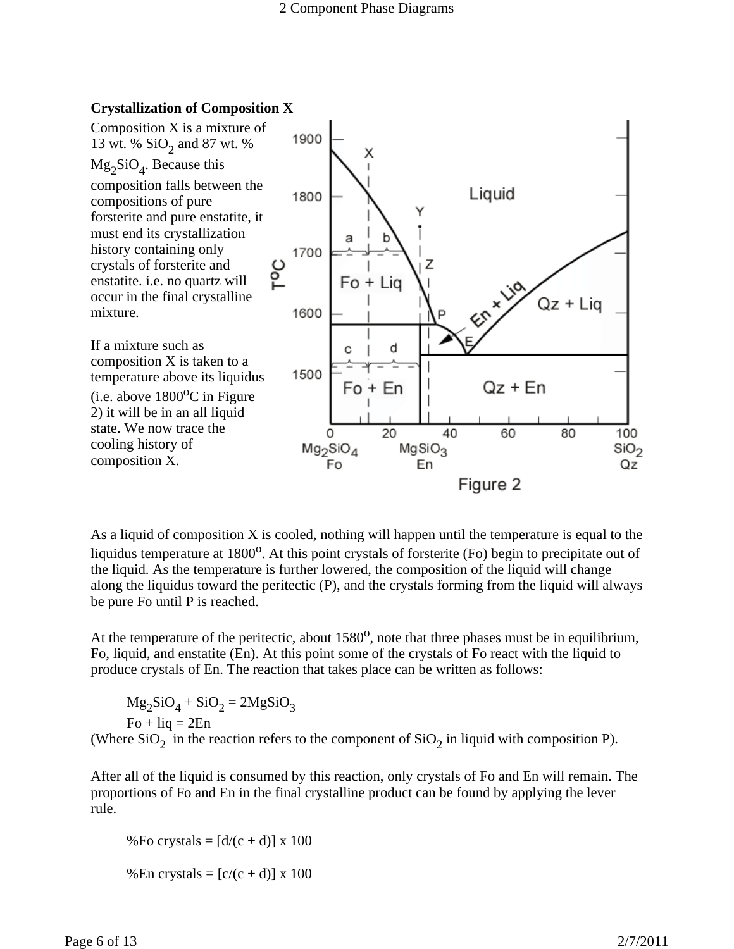

As a liquid of composition X is cooled, nothing will happen until the temperature is equal to the liquidus temperature at  $1800^{\circ}$ . At this point crystals of forsterite (Fo) begin to precipitate out of the liquid. As the temperature is further lowered, the composition of the liquid will change along the liquidus toward the peritectic (P), and the crystals forming from the liquid will always be pure Fo until P is reached.

At the temperature of the peritectic, about 1580<sup>o</sup>, note that three phases must be in equilibrium, Fo, liquid, and enstatite (En). At this point some of the crystals of Fo react with the liquid to produce crystals of En. The reaction that takes place can be written as follows:

 $Mg_2SiO_4 + SiO_2 = 2MgSiO_3$  $Fo + liq = 2En$ (Where  $SiO<sub>2</sub>$  in the reaction refers to the component of  $SiO<sub>2</sub>$  in liquid with composition P).

After all of the liquid is consumed by this reaction, only crystals of Fo and En will remain. The proportions of Fo and En in the final crystalline product can be found by applying the lever rule.

%Fo crystals =  $\left[\frac{d}{c} + d\right]$  x 100 %En crystals =  $[c/(c + d)] \times 100$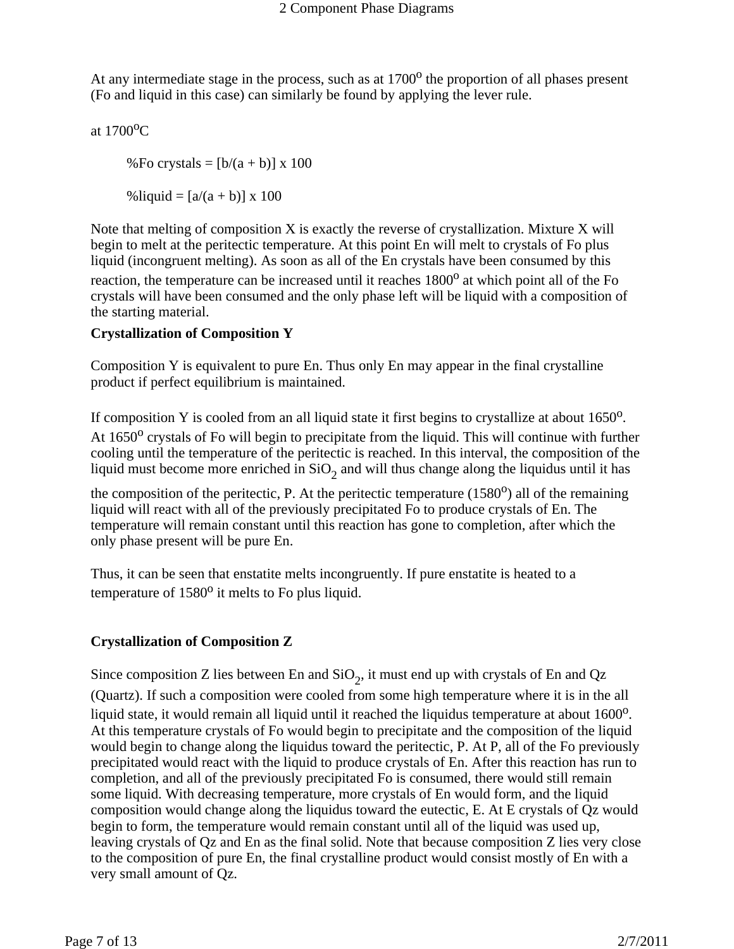At any intermediate stage in the process, such as at  $1700<sup>o</sup>$  the proportion of all phases present (Fo and liquid in this case) can similarly be found by applying the lever rule.

at  $1700$ <sup>o</sup>C

%Fo crystals =  $[b/(a + b)] \times 100$ 

%liquid =  $[a/(a + b)] \times 100$ 

Note that melting of composition X is exactly the reverse of crystallization. Mixture X will begin to melt at the peritectic temperature. At this point En will melt to crystals of Fo plus liquid (incongruent melting). As soon as all of the En crystals have been consumed by this reaction, the temperature can be increased until it reaches  $1800^{\circ}$  at which point all of the Fo crystals will have been consumed and the only phase left will be liquid with a composition of the starting material.

# **Crystallization of Composition Y**

Composition Y is equivalent to pure En. Thus only En may appear in the final crystalline product if perfect equilibrium is maintained.

If composition Y is cooled from an all liquid state it first begins to crystallize at about  $1650^\circ$ . At  $1650^{\circ}$  crystals of Fo will begin to precipitate from the liquid. This will continue with further cooling until the temperature of the peritectic is reached. In this interval, the composition of the liquid must become more enriched in  $SiO<sub>2</sub>$  and will thus change along the liquidus until it has

the composition of the peritectic, P. At the peritectic temperature  $(1580^{\circ})$  all of the remaining liquid will react with all of the previously precipitated Fo to produce crystals of En. The temperature will remain constant until this reaction has gone to completion, after which the only phase present will be pure En.

Thus, it can be seen that enstatite melts incongruently. If pure enstatite is heated to a temperature of  $1580^\circ$  it melts to Fo plus liquid.

# **Crystallization of Composition Z**

Since composition Z lies between En and  $SiO<sub>2</sub>$ , it must end up with crystals of En and Qz (Quartz). If such a composition were cooled from some high temperature where it is in the all liquid state, it would remain all liquid until it reached the liquidus temperature at about  $1600^\circ$ . At this temperature crystals of Fo would begin to precipitate and the composition of the liquid would begin to change along the liquidus toward the peritectic, P. At P, all of the Fo previously precipitated would react with the liquid to produce crystals of En. After this reaction has run to completion, and all of the previously precipitated Fo is consumed, there would still remain some liquid. With decreasing temperature, more crystals of En would form, and the liquid composition would change along the liquidus toward the eutectic, E. At E crystals of Qz would begin to form, the temperature would remain constant until all of the liquid was used up, leaving crystals of Qz and En as the final solid. Note that because composition Z lies very close to the composition of pure En, the final crystalline product would consist mostly of En with a very small amount of Qz.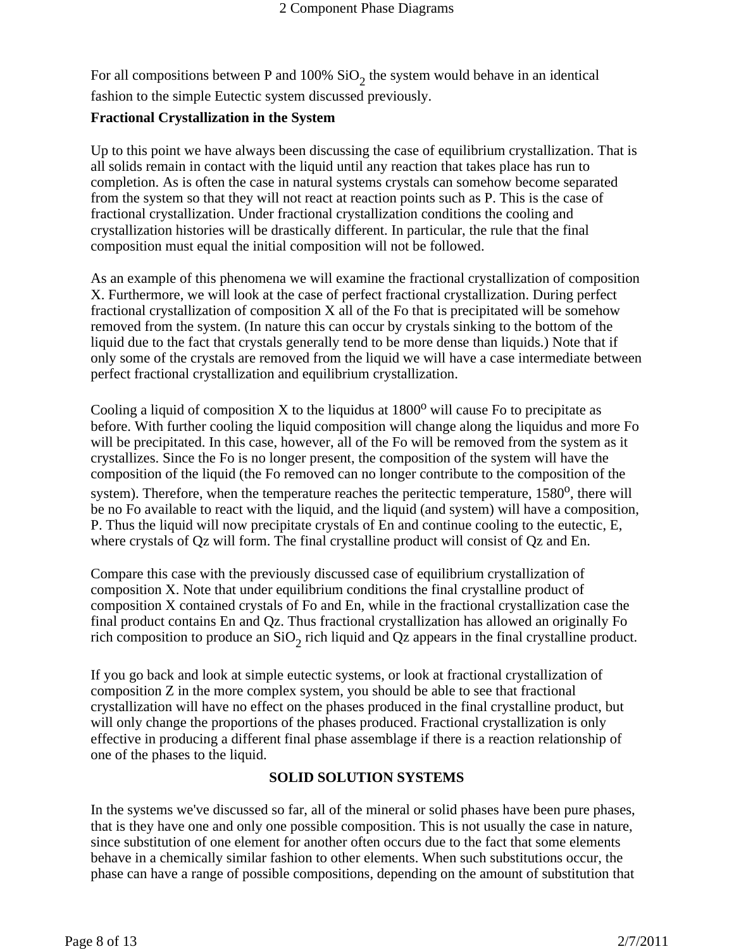For all compositions between P and 100%  $SiO<sub>2</sub>$  the system would behave in an identical fashion to the simple Eutectic system discussed previously.

## **Fractional Crystallization in the System**

Up to this point we have always been discussing the case of equilibrium crystallization. That is all solids remain in contact with the liquid until any reaction that takes place has run to completion. As is often the case in natural systems crystals can somehow become separated from the system so that they will not react at reaction points such as P. This is the case of fractional crystallization. Under fractional crystallization conditions the cooling and crystallization histories will be drastically different. In particular, the rule that the final composition must equal the initial composition will not be followed.

As an example of this phenomena we will examine the fractional crystallization of composition X. Furthermore, we will look at the case of perfect fractional crystallization. During perfect fractional crystallization of composition  $X$  all of the Fo that is precipitated will be somehow removed from the system. (In nature this can occur by crystals sinking to the bottom of the liquid due to the fact that crystals generally tend to be more dense than liquids.) Note that if only some of the crystals are removed from the liquid we will have a case intermediate between perfect fractional crystallization and equilibrium crystallization.

Cooling a liquid of composition X to the liquidus at  $1800^{\circ}$  will cause Fo to precipitate as before. With further cooling the liquid composition will change along the liquidus and more Fo will be precipitated. In this case, however, all of the Fo will be removed from the system as it crystallizes. Since the Fo is no longer present, the composition of the system will have the composition of the liquid (the Fo removed can no longer contribute to the composition of the system). Therefore, when the temperature reaches the peritectic temperature,  $1580^\circ$ , there will be no Fo available to react with the liquid, and the liquid (and system) will have a composition, P. Thus the liquid will now precipitate crystals of En and continue cooling to the eutectic, E, where crystals of Qz will form. The final crystalline product will consist of Qz and En.

Compare this case with the previously discussed case of equilibrium crystallization of composition X. Note that under equilibrium conditions the final crystalline product of composition X contained crystals of Fo and En, while in the fractional crystallization case the final product contains En and Qz. Thus fractional crystallization has allowed an originally Fo rich composition to produce an  $SiO<sub>2</sub>$  rich liquid and Qz appears in the final crystalline product.

If you go back and look at simple eutectic systems, or look at fractional crystallization of composition Z in the more complex system, you should be able to see that fractional crystallization will have no effect on the phases produced in the final crystalline product, but will only change the proportions of the phases produced. Fractional crystallization is only effective in producing a different final phase assemblage if there is a reaction relationship of one of the phases to the liquid.

# **SOLID SOLUTION SYSTEMS**

In the systems we've discussed so far, all of the mineral or solid phases have been pure phases, that is they have one and only one possible composition. This is not usually the case in nature, since substitution of one element for another often occurs due to the fact that some elements behave in a chemically similar fashion to other elements. When such substitutions occur, the phase can have a range of possible compositions, depending on the amount of substitution that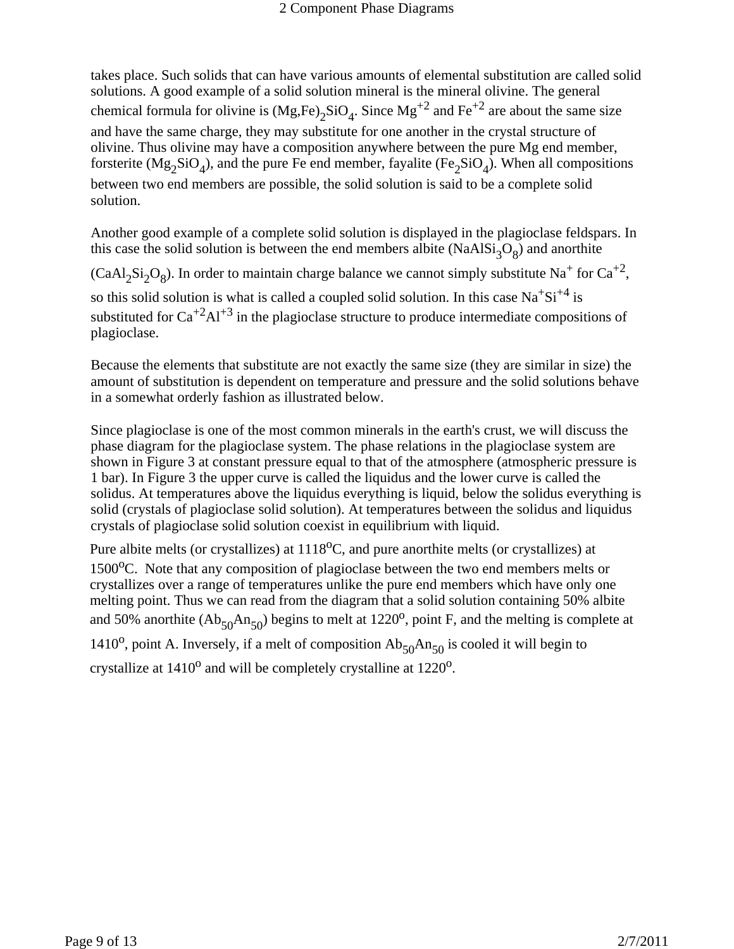takes place. Such solids that can have various amounts of elemental substitution are called solid solutions. A good example of a solid solution mineral is the mineral olivine. The general chemical formula for olivine is  $(Mg,Fe)_2SiO_4$ . Since  $Mg^{+2}$  and Fe<sup>+2</sup> are about the same size and have the same charge, they may substitute for one another in the crystal structure of olivine. Thus olivine may have a composition anywhere between the pure Mg end member, forsterite ( $Mg_2SiO_4$ ), and the pure Fe end member, fayalite (Fe<sub>2</sub>SiO<sub>4</sub>). When all compositions between two end members are possible, the solid solution is said to be a complete solid solution.

Another good example of a complete solid solution is displayed in the plagioclase feldspars. In this case the solid solution is between the end members albite (NaAl $Si<sub>3</sub>O<sub>8</sub>$ ) and anorthite

 $(CaAl_2Si_2O_8)$ . In order to maintain charge balance we cannot simply substitute Na<sup>+</sup> for Ca<sup>+2</sup>, so this solid solution is what is called a coupled solid solution. In this case  $Na<sup>+</sup>Si<sup>+4</sup>$  is substituted for  $Ca^{+2}Al^{+3}$  in the plagioclase structure to produce intermediate compositions of

plagioclase.

Because the elements that substitute are not exactly the same size (they are similar in size) the amount of substitution is dependent on temperature and pressure and the solid solutions behave in a somewhat orderly fashion as illustrated below.

Since plagioclase is one of the most common minerals in the earth's crust, we will discuss the phase diagram for the plagioclase system. The phase relations in the plagioclase system are shown in Figure 3 at constant pressure equal to that of the atmosphere (atmospheric pressure is 1 bar). In Figure 3 the upper curve is called the liquidus and the lower curve is called the solidus. At temperatures above the liquidus everything is liquid, below the solidus everything is solid (crystals of plagioclase solid solution). At temperatures between the solidus and liquidus crystals of plagioclase solid solution coexist in equilibrium with liquid.

Pure albite melts (or crystallizes) at 1118<sup>o</sup>C, and pure anorthite melts (or crystallizes) at 1500 $^{\circ}$ C. Note that any composition of plagioclase between the two end members melts or crystallizes over a range of temperatures unlike the pure end members which have only one melting point. Thus we can read from the diagram that a solid solution containing 50% albite and 50% anorthite  $(Ab_{50}An_{50})$  begins to melt at 1220<sup>o</sup>, point F, and the melting is complete at 1410<sup>o</sup>, point A. Inversely, if a melt of composition  $Ab_{50}An_{50}$  is cooled it will begin to crystallize at  $1410^{\circ}$  and will be completely crystalline at  $1220^{\circ}$ .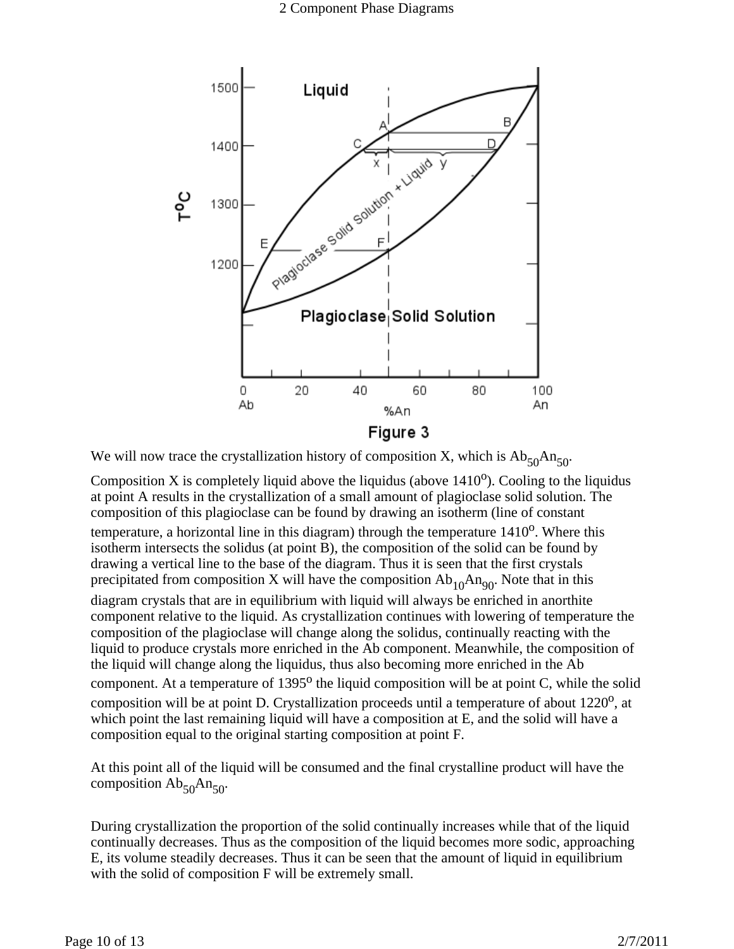

We will now trace the crystallization history of composition X, which is  $Ab_{50}An_{50}$ .

Composition X is completely liquid above the liquidus (above  $1410^{\circ}$ ). Cooling to the liquidus at point A results in the crystallization of a small amount of plagioclase solid solution. The composition of this plagioclase can be found by drawing an isotherm (line of constant temperature, a horizontal line in this diagram) through the temperature  $1410^{\circ}$ . Where this isotherm intersects the solidus (at point B), the composition of the solid can be found by drawing a vertical line to the base of the diagram. Thus it is seen that the first crystals precipitated from composition X will have the composition  $Ab_{10}An_{90}$ . Note that in this

diagram crystals that are in equilibrium with liquid will always be enriched in anorthite component relative to the liquid. As crystallization continues with lowering of temperature the composition of the plagioclase will change along the solidus, continually reacting with the liquid to produce crystals more enriched in the Ab component. Meanwhile, the composition of the liquid will change along the liquidus, thus also becoming more enriched in the Ab component. At a temperature of  $1395^{\circ}$  the liquid composition will be at point C, while the solid composition will be at point D. Crystallization proceeds until a temperature of about  $1220^{\circ}$ , at which point the last remaining liquid will have a composition at E, and the solid will have a composition equal to the original starting composition at point F.

At this point all of the liquid will be consumed and the final crystalline product will have the composition  $Ab_{50}An_{50}$ .

During crystallization the proportion of the solid continually increases while that of the liquid continually decreases. Thus as the composition of the liquid becomes more sodic, approaching E, its volume steadily decreases. Thus it can be seen that the amount of liquid in equilibrium with the solid of composition F will be extremely small.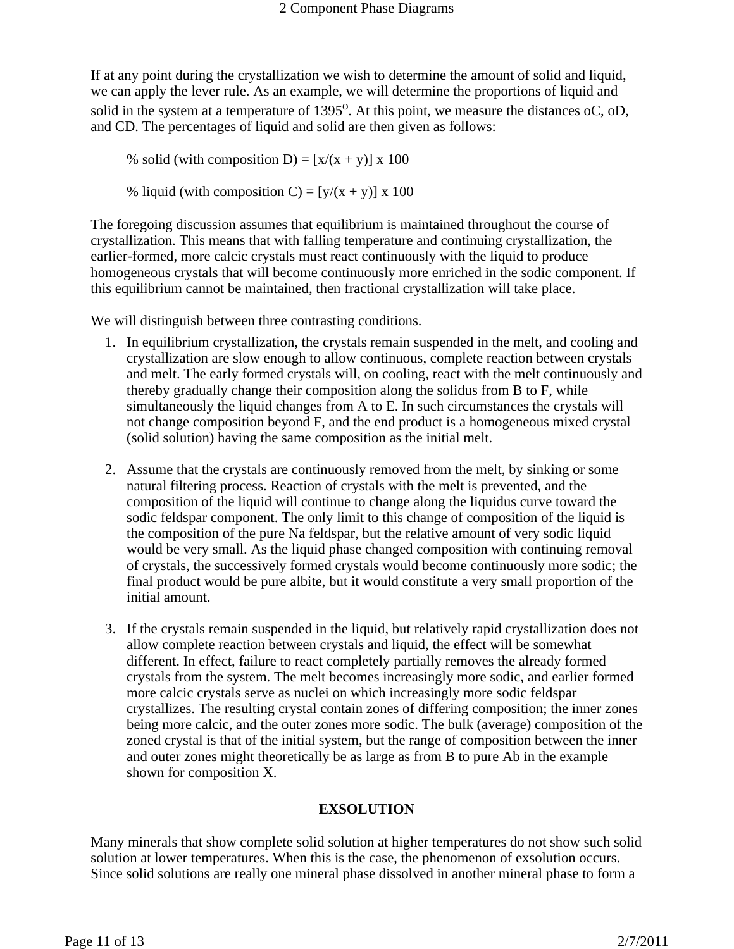If at any point during the crystallization we wish to determine the amount of solid and liquid, we can apply the lever rule. As an example, we will determine the proportions of liquid and solid in the system at a temperature of  $1395^{\circ}$ . At this point, we measure the distances oC, oD, and CD. The percentages of liquid and solid are then given as follows:

% solid (with composition D) =  $[x/(x + y)] x 100$ 

% liquid (with composition C) =  $[y/(x + y)] x 100$ 

The foregoing discussion assumes that equilibrium is maintained throughout the course of crystallization. This means that with falling temperature and continuing crystallization, the earlier-formed, more calcic crystals must react continuously with the liquid to produce homogeneous crystals that will become continuously more enriched in the sodic component. If this equilibrium cannot be maintained, then fractional crystallization will take place.

We will distinguish between three contrasting conditions.

- 1. In equilibrium crystallization, the crystals remain suspended in the melt, and cooling and crystallization are slow enough to allow continuous, complete reaction between crystals and melt. The early formed crystals will, on cooling, react with the melt continuously and thereby gradually change their composition along the solidus from B to F, while simultaneously the liquid changes from A to E. In such circumstances the crystals will not change composition beyond F, and the end product is a homogeneous mixed crystal (solid solution) having the same composition as the initial melt.
- 2. Assume that the crystals are continuously removed from the melt, by sinking or some natural filtering process. Reaction of crystals with the melt is prevented, and the composition of the liquid will continue to change along the liquidus curve toward the sodic feldspar component. The only limit to this change of composition of the liquid is the composition of the pure Na feldspar, but the relative amount of very sodic liquid would be very small. As the liquid phase changed composition with continuing removal of crystals, the successively formed crystals would become continuously more sodic; the final product would be pure albite, but it would constitute a very small proportion of the initial amount.
- 3. If the crystals remain suspended in the liquid, but relatively rapid crystallization does not allow complete reaction between crystals and liquid, the effect will be somewhat different. In effect, failure to react completely partially removes the already formed crystals from the system. The melt becomes increasingly more sodic, and earlier formed more calcic crystals serve as nuclei on which increasingly more sodic feldspar crystallizes. The resulting crystal contain zones of differing composition; the inner zones being more calcic, and the outer zones more sodic. The bulk (average) composition of the zoned crystal is that of the initial system, but the range of composition between the inner and outer zones might theoretically be as large as from B to pure Ab in the example shown for composition X.

## **EXSOLUTION**

Many minerals that show complete solid solution at higher temperatures do not show such solid solution at lower temperatures. When this is the case, the phenomenon of exsolution occurs. Since solid solutions are really one mineral phase dissolved in another mineral phase to form a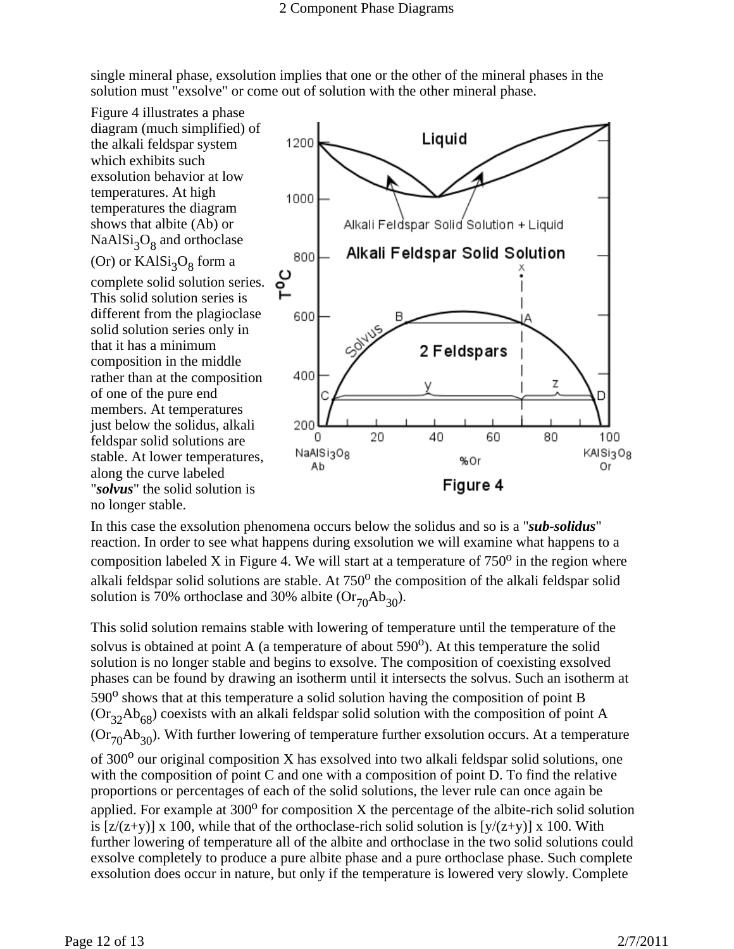single mineral phase, exsolution implies that one or the other of the mineral phases in the solution must "exsolve" or come out of solution with the other mineral phase.

Figure 4 illustrates a phase diagram (much simplified) of the alkali feldspar system which exhibits such exsolution behavior at low temperatures. At high temperatures the diagram shows that albite (Ab) or  $NaAlSi<sub>3</sub>O<sub>8</sub>$  and orthoclase (Or) or  $KAlSi<sub>3</sub>O<sub>8</sub>$  form a complete solid solution series. This solid solution series is different from the plagioclase solid solution series only in that it has a minimum composition in the middle rather than at the composition of one of the pure end members. At temperatures just below the solidus, alkali feldspar solid solutions are stable. At lower temperatures, along the curve labeled "*solvus*" the solid solution is no longer stable.



In this case the exsolution phenomena occurs below the solidus and so is a "*sub-solidus*" reaction. In order to see what happens during exsolution we will examine what happens to a composition labeled X in Figure 4. We will start at a temperature of  $750^{\circ}$  in the region where alkali feldspar solid solutions are stable. At  $750<sup>o</sup>$  the composition of the alkali feldspar solid solution is 70% orthoclase and 30% albite  $(Or_{70}Ab_{30})$ .

This solid solution remains stable with lowering of temperature until the temperature of the solvus is obtained at point A (a temperature of about  $590^{\circ}$ ). At this temperature the solid solution is no longer stable and begins to exsolve. The composition of coexisting exsolved phases can be found by drawing an isotherm until it intersects the solvus. Such an isotherm at  $590^\circ$  shows that at this temperature a solid solution having the composition of point B  $(Or_{32}Ab_{68})$  coexists with an alkali feldspar solid solution with the composition of point A  $(Or<sub>70</sub>Ab<sub>30</sub>)$ . With further lowering of temperature further exsolution occurs. At a temperature of  $300^{\circ}$  our original composition X has exsolved into two alkali feldspar solid solutions, one with the composition of point C and one with a composition of point D. To find the relative proportions or percentages of each of the solid solutions, the lever rule can once again be applied. For example at  $300^{\circ}$  for composition X the percentage of the albite-rich solid solution is  $[z/(z+y)] \times 100$ , while that of the orthoclase-rich solid solution is  $[y/(z+y)] \times 100$ . With further lowering of temperature all of the albite and orthoclase in the two solid solutions could exsolve completely to produce a pure albite phase and a pure orthoclase phase. Such complete exsolution does occur in nature, but only if the temperature is lowered very slowly. Complete